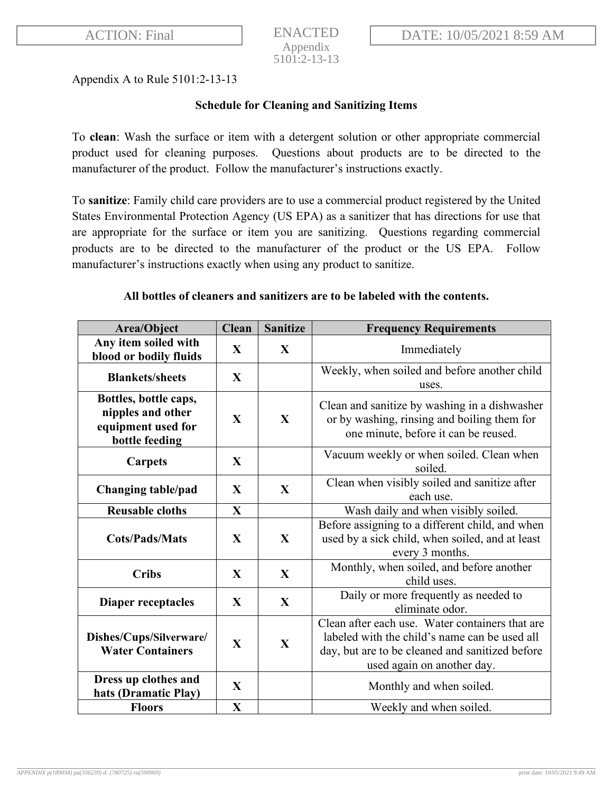Appendix A to Rule 5101:2-13-13

## **Schedule for Cleaning and Sanitizing Items**

To **clean**: Wash the surface or item with a detergent solution or other appropriate commercial product used for cleaning purposes. Questions about products are to be directed to the manufacturer of the product. Follow the manufacturer's instructions exactly.

To **sanitize**: Family child care providers are to use a commercial product registered by the United States Environmental Protection Agency (US EPA) as a sanitizer that has directions for use that are appropriate for the surface or item you are sanitizing. Questions regarding commercial products are to be directed to the manufacturer of the product or the US EPA. Follow manufacturer's instructions exactly when using any product to sanitize.

## **All bottles of cleaners and sanitizers are to be labeled with the contents.**

| Area/Object                                                                        | <b>Clean</b> | <b>Sanitize</b> | <b>Frequency Requirements</b>                                                                                                                                                     |
|------------------------------------------------------------------------------------|--------------|-----------------|-----------------------------------------------------------------------------------------------------------------------------------------------------------------------------------|
| Any item soiled with<br>blood or bodily fluids                                     | $\mathbf{X}$ | $\mathbf{X}$    | Immediately                                                                                                                                                                       |
| <b>Blankets/sheets</b>                                                             | $\mathbf{X}$ |                 | Weekly, when soiled and before another child<br>uses.                                                                                                                             |
| Bottles, bottle caps,<br>nipples and other<br>equipment used for<br>bottle feeding | $\mathbf{X}$ | $\mathbf{X}$    | Clean and sanitize by washing in a dishwasher<br>or by washing, rinsing and boiling them for<br>one minute, before it can be reused.                                              |
| <b>Carpets</b>                                                                     | $\mathbf{X}$ |                 | Vacuum weekly or when soiled. Clean when<br>soiled.                                                                                                                               |
| <b>Changing table/pad</b>                                                          | $\mathbf{X}$ | $\mathbf{X}$    | Clean when visibly soiled and sanitize after<br>each use.                                                                                                                         |
| <b>Reusable cloths</b>                                                             | $\mathbf X$  |                 | Wash daily and when visibly soiled.                                                                                                                                               |
| <b>Cots/Pads/Mats</b>                                                              | $\mathbf{X}$ | $\mathbf{X}$    | Before assigning to a different child, and when<br>used by a sick child, when soiled, and at least<br>every 3 months.                                                             |
| <b>Cribs</b>                                                                       | X            | $\mathbf{X}$    | Monthly, when soiled, and before another<br>child uses.                                                                                                                           |
| Diaper receptacles                                                                 | $\mathbf{X}$ | X               | Daily or more frequently as needed to<br>eliminate odor.                                                                                                                          |
| Dishes/Cups/Silverware/<br><b>Water Containers</b>                                 | $\mathbf{X}$ | $\mathbf{X}$    | Clean after each use. Water containers that are<br>labeled with the child's name can be used all<br>day, but are to be cleaned and sanitized before<br>used again on another day. |
| Dress up clothes and<br>hats (Dramatic Play)                                       | $\mathbf{X}$ |                 | Monthly and when soiled.                                                                                                                                                          |
| <b>Floors</b>                                                                      | $\mathbf{X}$ |                 | Weekly and when soiled.                                                                                                                                                           |